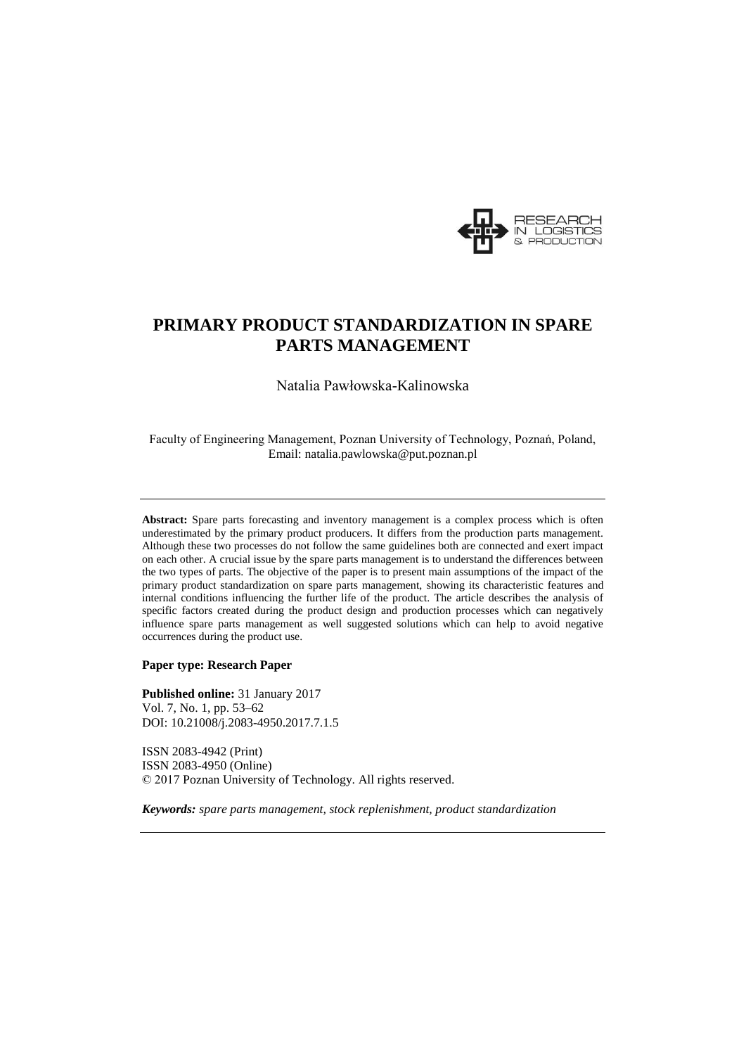

# **PRIMARY PRODUCT STANDARDIZATION IN SPARE PARTS MANAGEMENT**

Natalia Pawłowska-Kalinowska

Faculty of Engineering Management, Poznan University of Technology, Poznań, Poland, Email: natalia.pawlowska@put.poznan.pl

**Abstract:** Spare parts forecasting and inventory management is a complex process which is often underestimated by the primary product producers. It differs from the production parts management. Although these two processes do not follow the same guidelines both are connected and exert impact on each other. A crucial issue by the spare parts management is to understand the differences between the two types of parts. The objective of the paper is to present main assumptions of the impact of the primary product standardization on spare parts management, showing its characteristic features and internal conditions influencing the further life of the product. The article describes the analysis of specific factors created during the product design and production processes which can negatively influence spare parts management as well suggested solutions which can help to avoid negative occurrences during the product use.

**Paper type: Research Paper**

**Published online:** 31 January 2017 Vol. 7, No. 1, pp. 53–62 DOI: 10.21008/j.2083-4950.2017.7.1.5

ISSN 2083-4942 (Print) ISSN 2083-4950 (Online) © 2017 Poznan University of Technology. All rights reserved.

*Keywords: spare parts management, stock replenishment, product standardization*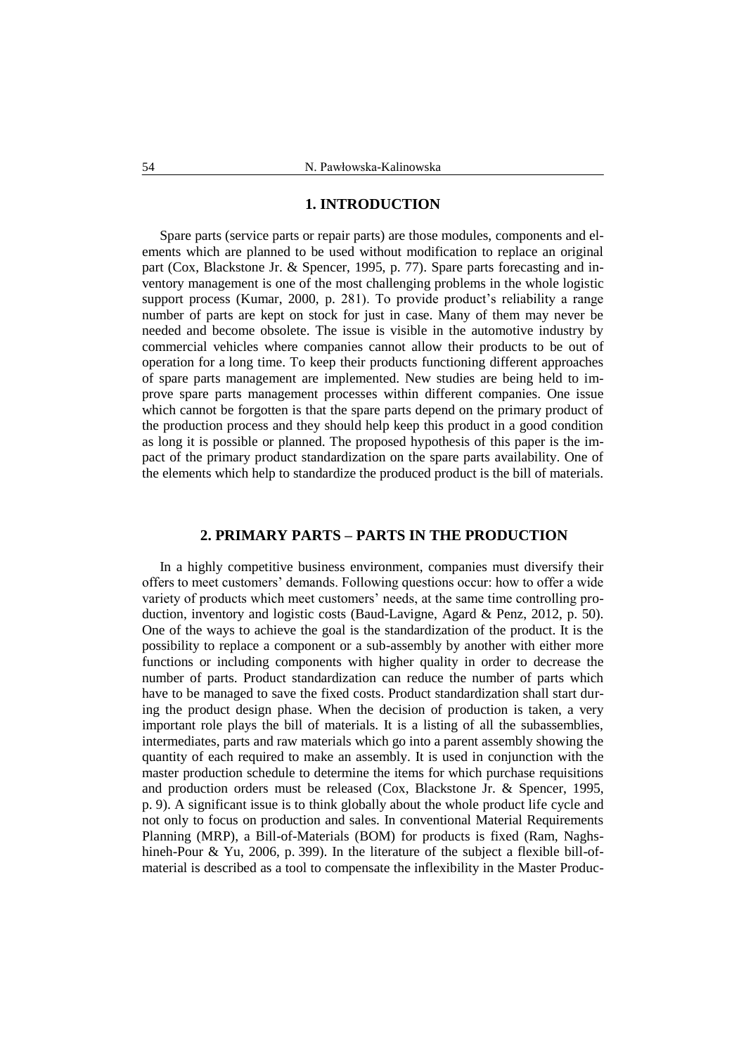# **1. INTRODUCTION**

Spare parts (service parts or repair parts) are those modules, components and elements which are planned to be used without modification to replace an original part (Cox, Blackstone Jr. & Spencer, 1995, p. 77). Spare parts forecasting and inventory management is one of the most challenging problems in the whole logistic support process (Kumar, 2000, p. 281). To provide product's reliability a range number of parts are kept on stock for just in case. Many of them may never be needed and become obsolete. The issue is visible in the automotive industry by commercial vehicles where companies cannot allow their products to be out of operation for a long time. To keep their products functioning different approaches of spare parts management are implemented. New studies are being held to improve spare parts management processes within different companies. One issue which cannot be forgotten is that the spare parts depend on the primary product of the production process and they should help keep this product in a good condition as long it is possible or planned. The proposed hypothesis of this paper is the impact of the primary product standardization on the spare parts availability. One of the elements which help to standardize the produced product is the bill of materials.

# **2. PRIMARY PARTS – PARTS IN THE PRODUCTION**

In a highly competitive business environment, companies must diversify their offers to meet customers' demands. Following questions occur: how to offer a wide variety of products which meet customers' needs, at the same time controlling production, inventory and logistic costs (Baud-Lavigne, Agard & Penz, 2012, p. 50). One of the ways to achieve the goal is the standardization of the product. It is the possibility to replace a component or a sub-assembly by another with either more functions or including components with higher quality in order to decrease the number of parts. Product standardization can reduce the number of parts which have to be managed to save the fixed costs. Product standardization shall start during the product design phase. When the decision of production is taken, a very important role plays the bill of materials. It is a listing of all the subassemblies, intermediates, parts and raw materials which go into a parent assembly showing the quantity of each required to make an assembly. It is used in conjunction with the master production schedule to determine the items for which purchase requisitions and production orders must be released (Cox, Blackstone Jr. & Spencer, 1995, p. 9). A significant issue is to think globally about the whole product life cycle and not only to focus on production and sales. In conventional Material Requirements Planning (MRP), a Bill-of-Materials (BOM) for products is fixed (Ram, Naghshineh-Pour & Yu, 2006, p. 399). In the literature of the subject a flexible bill-ofmaterial is described as a tool to compensate the inflexibility in the Master Produc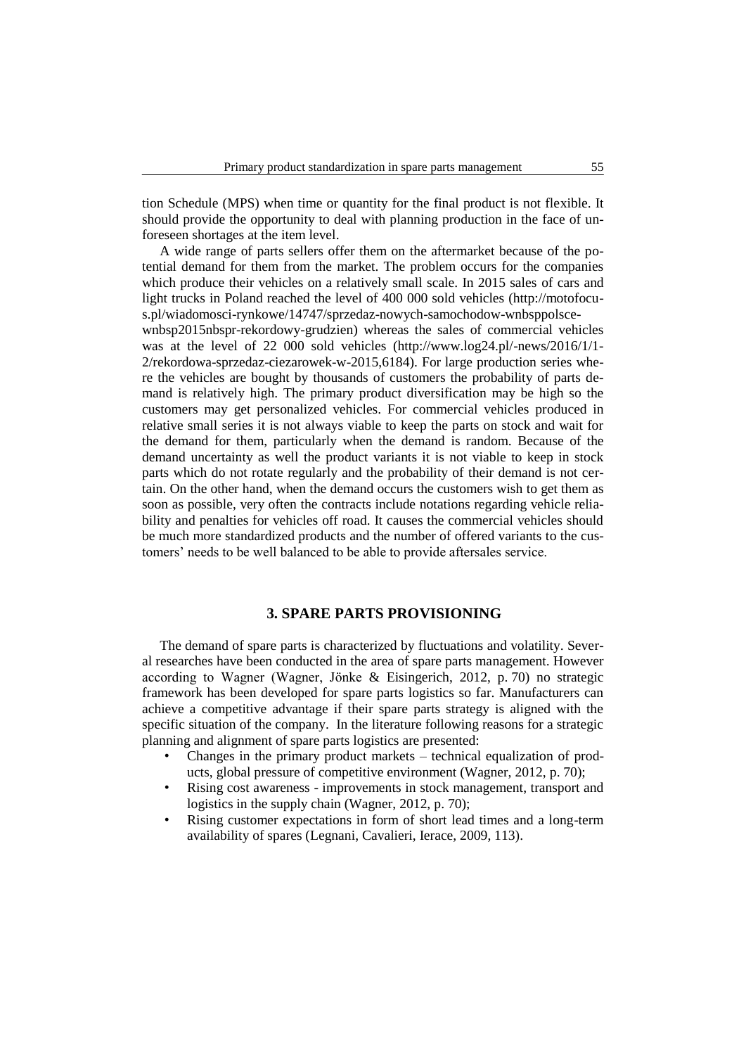tion Schedule (MPS) when time or quantity for the final product is not flexible. It should provide the opportunity to deal with planning production in the face of unforeseen shortages at the item level.

A wide range of parts sellers offer them on the aftermarket because of the potential demand for them from the market. The problem occurs for the companies which produce their vehicles on a relatively small scale. In 2015 sales of cars and light trucks in Poland reached the level of 400 000 sold vehicles (http://motofocus.pl/wiadomosci-rynkowe/14747/sprzedaz-nowych-samochodow-wnbsppolsce-

wnbsp2015nbspr-rekordowy-grudzien) whereas the sales of commercial vehicles was at the level of 22 000 sold vehicles (http://www.log24.pl/-news/2016/1/1- 2/rekordowa-sprzedaz-ciezarowek-w-2015,6184). For large production series where the vehicles are bought by thousands of customers the probability of parts demand is relatively high. The primary product diversification may be high so the customers may get personalized vehicles. For commercial vehicles produced in relative small series it is not always viable to keep the parts on stock and wait for the demand for them, particularly when the demand is random. Because of the demand uncertainty as well the product variants it is not viable to keep in stock parts which do not rotate regularly and the probability of their demand is not certain. On the other hand, when the demand occurs the customers wish to get them as soon as possible, very often the contracts include notations regarding vehicle reliability and penalties for vehicles off road. It causes the commercial vehicles should be much more standardized products and the number of offered variants to the customers' needs to be well balanced to be able to provide aftersales service.

# **3. SPARE PARTS PROVISIONING**

The demand of spare parts is characterized by fluctuations and volatility. Several researches have been conducted in the area of spare parts management. However according to Wagner (Wagner, Jönke & Eisingerich, 2012, p. 70) no strategic framework has been developed for spare parts logistics so far. Manufacturers can achieve a competitive advantage if their spare parts strategy is aligned with the specific situation of the company. In the literature following reasons for a strategic planning and alignment of spare parts logistics are presented:

- Changes in the primary product markets technical equalization of products, global pressure of competitive environment (Wagner, 2012, p. 70);
- Rising cost awareness improvements in stock management, transport and logistics in the supply chain (Wagner, 2012, p. 70);
- Rising customer expectations in form of short lead times and a long-term availability of spares (Legnani, Cavalieri, Ierace, 2009, 113).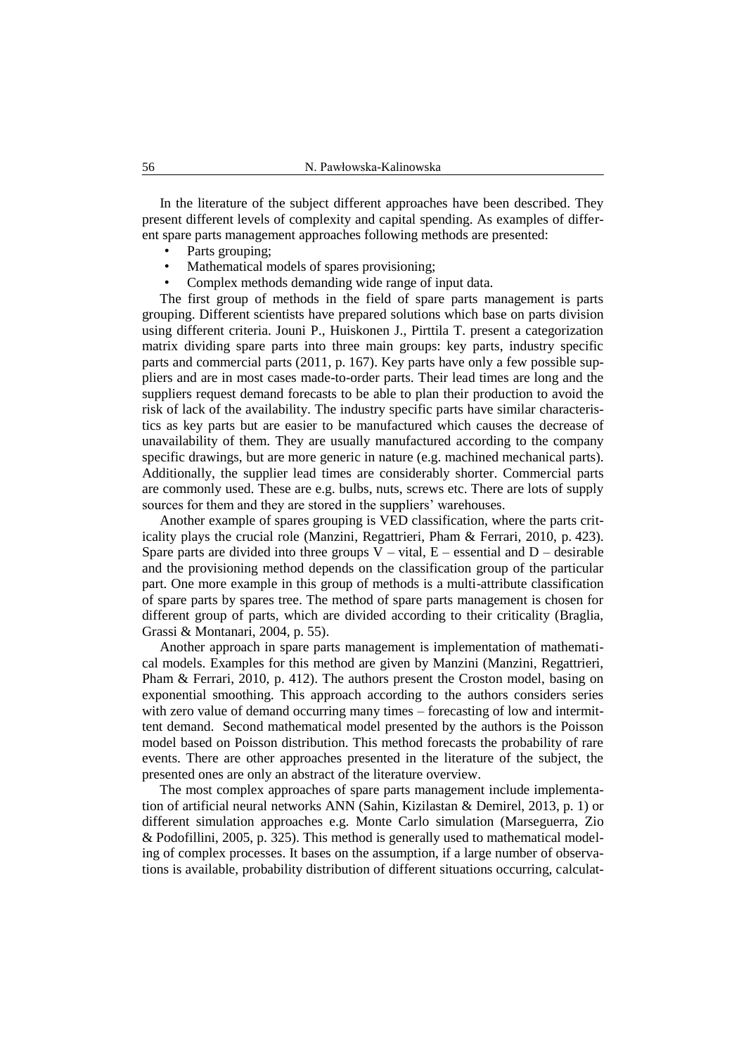In the literature of the subject different approaches have been described. They present different levels of complexity and capital spending. As examples of different spare parts management approaches following methods are presented:

- Parts grouping;
- Mathematical models of spares provisioning;
- Complex methods demanding wide range of input data.

The first group of methods in the field of spare parts management is parts grouping. Different scientists have prepared solutions which base on parts division using different criteria. Jouni P., Huiskonen J., Pirttila T. present a categorization matrix dividing spare parts into three main groups: key parts, industry specific parts and commercial parts (2011, p. 167). Key parts have only a few possible suppliers and are in most cases made-to-order parts. Their lead times are long and the suppliers request demand forecasts to be able to plan their production to avoid the risk of lack of the availability. The industry specific parts have similar characteristics as key parts but are easier to be manufactured which causes the decrease of unavailability of them. They are usually manufactured according to the company specific drawings, but are more generic in nature (e.g. machined mechanical parts). Additionally, the supplier lead times are considerably shorter. Commercial parts are commonly used. These are e.g. bulbs, nuts, screws etc. There are lots of supply sources for them and they are stored in the suppliers' warehouses.

Another example of spares grouping is VED classification, where the parts criticality plays the crucial role (Manzini, Regattrieri, Pham & Ferrari, 2010, p. 423). Spare parts are divided into three groups  $V - \text{vital}$ ,  $E - \text{essential}$  and  $D - \text{desirable}$ and the provisioning method depends on the classification group of the particular part. One more example in this group of methods is a multi-attribute classification of spare parts by spares tree. The method of spare parts management is chosen for different group of parts, which are divided according to their criticality (Braglia, Grassi & Montanari, 2004, p. 55).

Another approach in spare parts management is implementation of mathematical models. Examples for this method are given by Manzini (Manzini, Regattrieri, Pham & Ferrari, 2010, p. 412). The authors present the Croston model, basing on exponential smoothing. This approach according to the authors considers series with zero value of demand occurring many times – forecasting of low and intermittent demand. Second mathematical model presented by the authors is the Poisson model based on Poisson distribution. This method forecasts the probability of rare events. There are other approaches presented in the literature of the subject, the presented ones are only an abstract of the literature overview.

The most complex approaches of spare parts management include implementation of artificial neural networks ANN (Sahin, Kizilastan & Demirel, 2013, p. 1) or different simulation approaches e.g. Monte Carlo simulation (Marseguerra, Zio & Podofillini, 2005, p. 325). This method is generally used to mathematical modeling of complex processes. It bases on the assumption, if a large number of observations is available, probability distribution of different situations occurring, calculat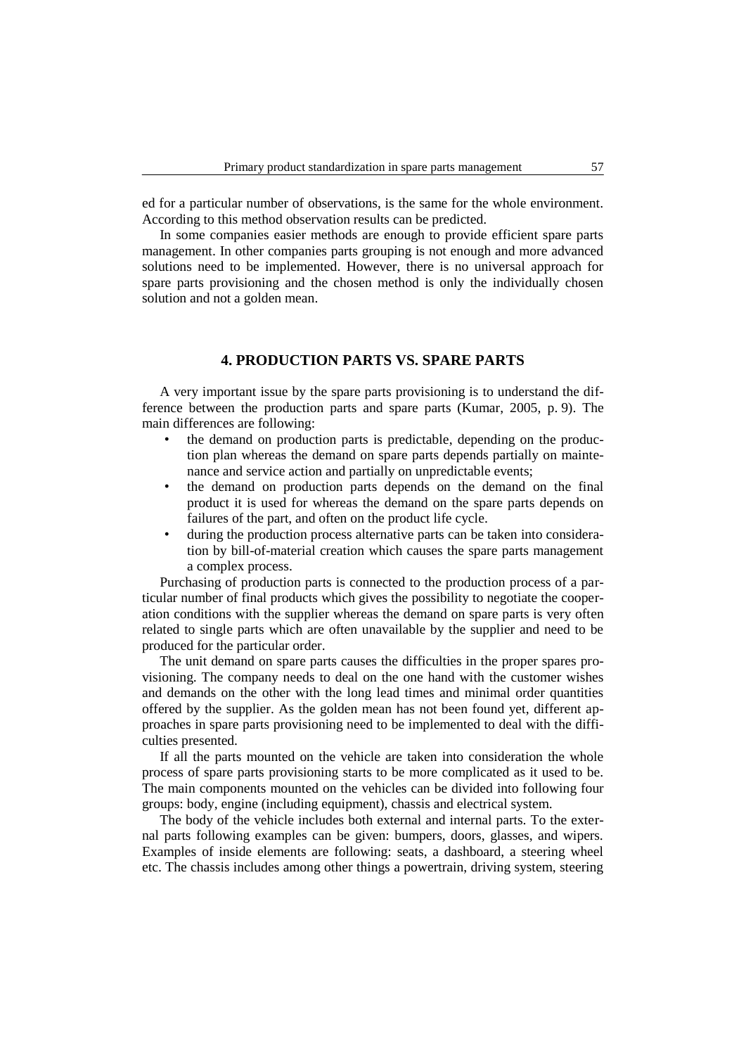ed for a particular number of observations, is the same for the whole environment. According to this method observation results can be predicted.

In some companies easier methods are enough to provide efficient spare parts management. In other companies parts grouping is not enough and more advanced solutions need to be implemented. However, there is no universal approach for spare parts provisioning and the chosen method is only the individually chosen solution and not a golden mean.

#### **4. PRODUCTION PARTS VS. SPARE PARTS**

A very important issue by the spare parts provisioning is to understand the difference between the production parts and spare parts (Kumar, 2005, p. 9). The main differences are following:

- the demand on production parts is predictable, depending on the production plan whereas the demand on spare parts depends partially on maintenance and service action and partially on unpredictable events;
- the demand on production parts depends on the demand on the final product it is used for whereas the demand on the spare parts depends on failures of the part, and often on the product life cycle.
- during the production process alternative parts can be taken into consideration by bill-of-material creation which causes the spare parts management a complex process.

Purchasing of production parts is connected to the production process of a particular number of final products which gives the possibility to negotiate the cooperation conditions with the supplier whereas the demand on spare parts is very often related to single parts which are often unavailable by the supplier and need to be produced for the particular order.

The unit demand on spare parts causes the difficulties in the proper spares provisioning. The company needs to deal on the one hand with the customer wishes and demands on the other with the long lead times and minimal order quantities offered by the supplier. As the golden mean has not been found yet, different approaches in spare parts provisioning need to be implemented to deal with the difficulties presented.

If all the parts mounted on the vehicle are taken into consideration the whole process of spare parts provisioning starts to be more complicated as it used to be. The main components mounted on the vehicles can be divided into following four groups: body, engine (including equipment), chassis and electrical system.

The body of the vehicle includes both external and internal parts. To the external parts following examples can be given: bumpers, doors, glasses, and wipers. Examples of inside elements are following: seats, a dashboard, a steering wheel etc. The chassis includes among other things a powertrain, driving system, steering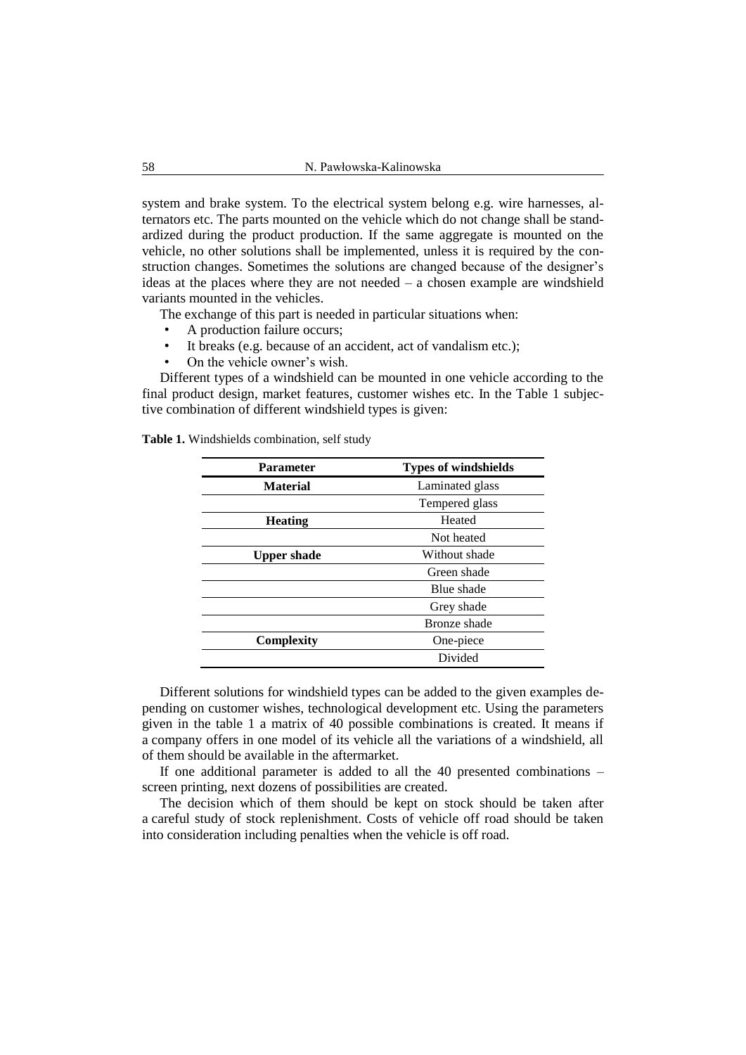system and brake system. To the electrical system belong e.g. wire harnesses, alternators etc. The parts mounted on the vehicle which do not change shall be standardized during the product production. If the same aggregate is mounted on the vehicle, no other solutions shall be implemented, unless it is required by the construction changes. Sometimes the solutions are changed because of the designer's ideas at the places where they are not needed – a chosen example are windshield variants mounted in the vehicles.

The exchange of this part is needed in particular situations when:

- A production failure occurs;
- It breaks (e.g. because of an accident, act of vandalism etc.);
- On the vehicle owner's wish.

Different types of a windshield can be mounted in one vehicle according to the final product design, market features, customer wishes etc. In the Table 1 subjective combination of different windshield types is given:

| <b>Parameter</b>   | <b>Types of windshields</b> |
|--------------------|-----------------------------|
| <b>Material</b>    | Laminated glass             |
|                    | Tempered glass              |
| <b>Heating</b>     | Heated                      |
|                    | Not heated                  |
| <b>Upper shade</b> | Without shade               |
|                    | Green shade                 |
|                    | Blue shade                  |
|                    | Grey shade                  |
|                    | Bronze shade                |
| <b>Complexity</b>  | One-piece                   |
|                    | Divided                     |

**Table 1.** Windshields combination, self study

Different solutions for windshield types can be added to the given examples depending on customer wishes, technological development etc. Using the parameters given in the table 1 a matrix of 40 possible combinations is created. It means if a company offers in one model of its vehicle all the variations of a windshield, all of them should be available in the aftermarket.

If one additional parameter is added to all the 40 presented combinations – screen printing, next dozens of possibilities are created.

The decision which of them should be kept on stock should be taken after a careful study of stock replenishment. Costs of vehicle off road should be taken into consideration including penalties when the vehicle is off road.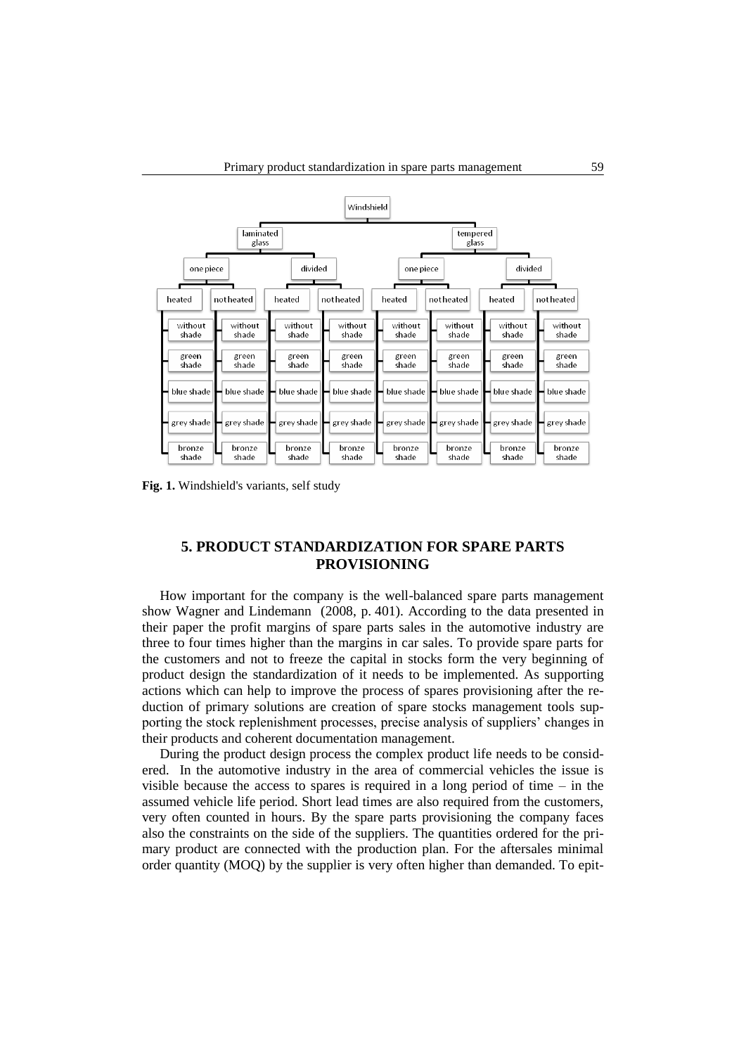

**Fig. 1.** Windshield's variants, self study

# **5. PRODUCT STANDARDIZATION FOR SPARE PARTS PROVISIONING**

How important for the company is the well-balanced spare parts management show Wagner and Lindemann (2008, p. 401). According to the data presented in their paper the profit margins of spare parts sales in the automotive industry are three to four times higher than the margins in car sales. To provide spare parts for the customers and not to freeze the capital in stocks form the very beginning of product design the standardization of it needs to be implemented. As supporting actions which can help to improve the process of spares provisioning after the reduction of primary solutions are creation of spare stocks management tools supporting the stock replenishment processes, precise analysis of suppliers' changes in their products and coherent documentation management.

During the product design process the complex product life needs to be considered. In the automotive industry in the area of commercial vehicles the issue is visible because the access to spares is required in a long period of time  $-$  in the assumed vehicle life period. Short lead times are also required from the customers, very often counted in hours. By the spare parts provisioning the company faces also the constraints on the side of the suppliers. The quantities ordered for the primary product are connected with the production plan. For the aftersales minimal order quantity (MOQ) by the supplier is very often higher than demanded. To epit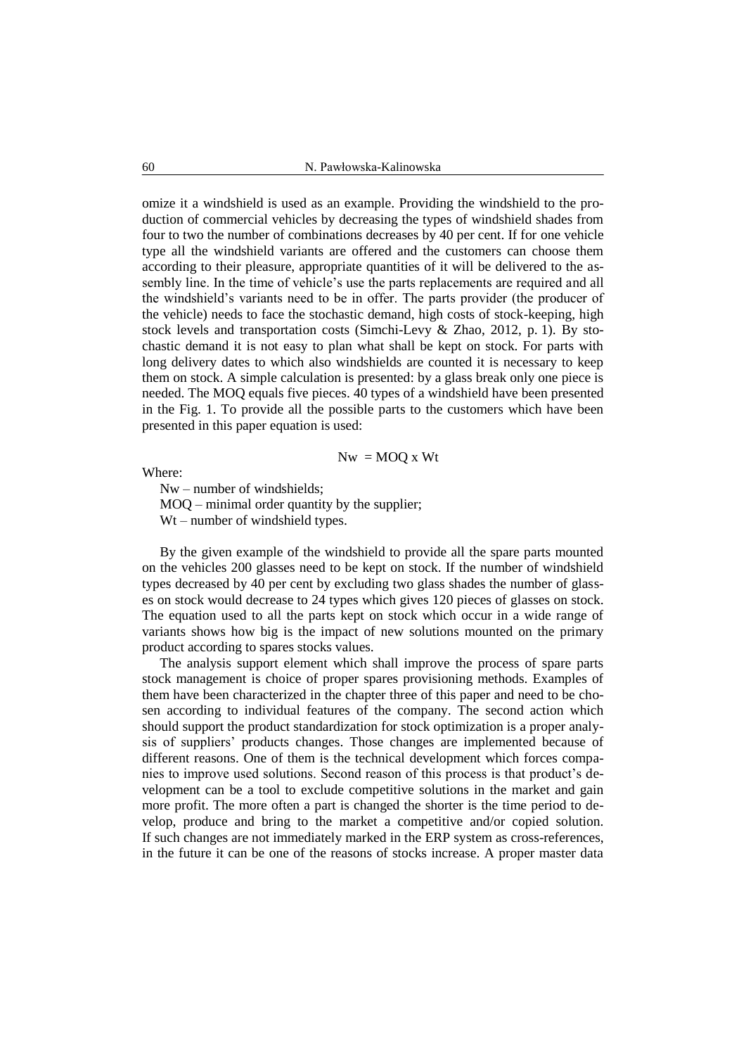omize it a windshield is used as an example. Providing the windshield to the production of commercial vehicles by decreasing the types of windshield shades from four to two the number of combinations decreases by 40 per cent. If for one vehicle type all the windshield variants are offered and the customers can choose them according to their pleasure, appropriate quantities of it will be delivered to the assembly line. In the time of vehicle's use the parts replacements are required and all the windshield's variants need to be in offer. The parts provider (the producer of the vehicle) needs to face the stochastic demand, high costs of stock-keeping, high stock levels and transportation costs (Simchi-Levy & Zhao, 2012, p. 1). By stochastic demand it is not easy to plan what shall be kept on stock. For parts with long delivery dates to which also windshields are counted it is necessary to keep them on stock. A simple calculation is presented: by a glass break only one piece is needed. The MOQ equals five pieces. 40 types of a windshield have been presented in the Fig. 1. To provide all the possible parts to the customers which have been presented in this paper equation is used:

$$
Nw = MOQ x Wt
$$

Where:

Nw – number of windshields; MOQ – minimal order quantity by the supplier; Wt – number of windshield types.

By the given example of the windshield to provide all the spare parts mounted on the vehicles 200 glasses need to be kept on stock. If the number of windshield types decreased by 40 per cent by excluding two glass shades the number of glasses on stock would decrease to 24 types which gives 120 pieces of glasses on stock. The equation used to all the parts kept on stock which occur in a wide range of variants shows how big is the impact of new solutions mounted on the primary product according to spares stocks values.

The analysis support element which shall improve the process of spare parts stock management is choice of proper spares provisioning methods. Examples of them have been characterized in the chapter three of this paper and need to be chosen according to individual features of the company. The second action which should support the product standardization for stock optimization is a proper analysis of suppliers' products changes. Those changes are implemented because of different reasons. One of them is the technical development which forces companies to improve used solutions. Second reason of this process is that product's development can be a tool to exclude competitive solutions in the market and gain more profit. The more often a part is changed the shorter is the time period to develop, produce and bring to the market a competitive and/or copied solution. If such changes are not immediately marked in the ERP system as cross-references, in the future it can be one of the reasons of stocks increase. A proper master data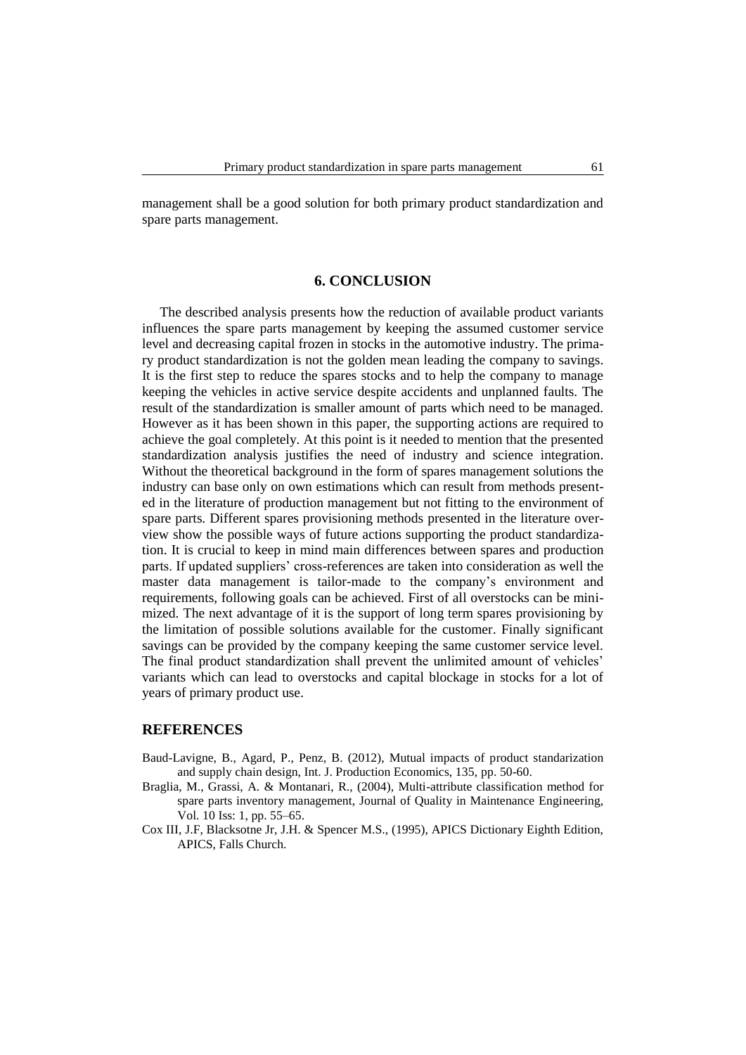management shall be a good solution for both primary product standardization and spare parts management.

# **6. CONCLUSION**

The described analysis presents how the reduction of available product variants influences the spare parts management by keeping the assumed customer service level and decreasing capital frozen in stocks in the automotive industry. The primary product standardization is not the golden mean leading the company to savings. It is the first step to reduce the spares stocks and to help the company to manage keeping the vehicles in active service despite accidents and unplanned faults. The result of the standardization is smaller amount of parts which need to be managed. However as it has been shown in this paper, the supporting actions are required to achieve the goal completely. At this point is it needed to mention that the presented standardization analysis justifies the need of industry and science integration. Without the theoretical background in the form of spares management solutions the industry can base only on own estimations which can result from methods presented in the literature of production management but not fitting to the environment of spare parts. Different spares provisioning methods presented in the literature overview show the possible ways of future actions supporting the product standardization. It is crucial to keep in mind main differences between spares and production parts. If updated suppliers' cross-references are taken into consideration as well the master data management is tailor-made to the company's environment and requirements, following goals can be achieved. First of all overstocks can be minimized. The next advantage of it is the support of long term spares provisioning by the limitation of possible solutions available for the customer. Finally significant savings can be provided by the company keeping the same customer service level. The final product standardization shall prevent the unlimited amount of vehicles' variants which can lead to overstocks and capital blockage in stocks for a lot of years of primary product use.

#### **REFERENCES**

- Baud-Lavigne, B., Agard, P., Penz, B. (2012), Mutual impacts of product standarization and supply chain design, Int. J. Production Economics, 135, pp. 50-60.
- Braglia, M., Grassi, A. & Montanari, R., (2004), Multi-attribute classification method for spare parts inventory management, Journal of Quality in Maintenance Engineering, Vol. 10 Iss: 1, pp. 55–65.
- Cox III, J.F, Blacksotne Jr, J.H. & Spencer M.S., (1995), APICS Dictionary Eighth Edition, APICS, Falls Church.